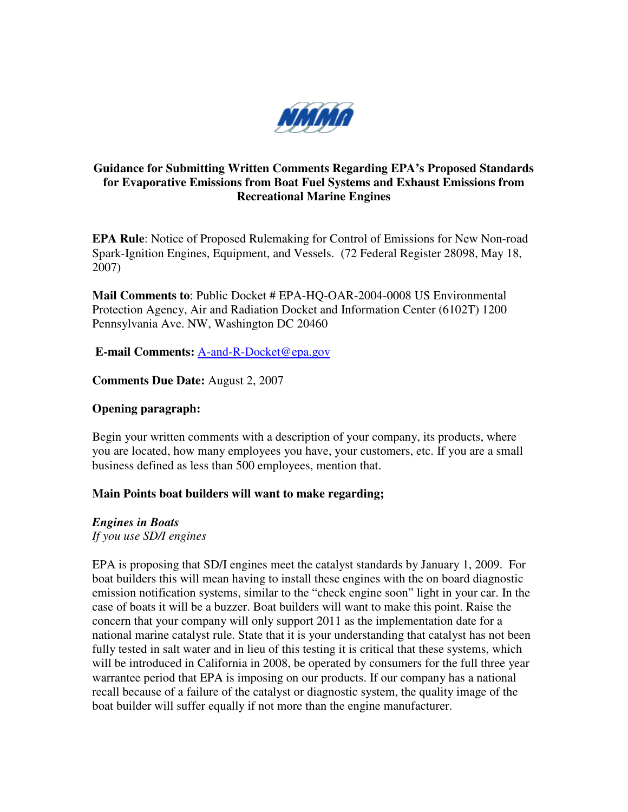

# **Guidance for Submitting Written Comments Regarding EPA's Proposed Standards for Evaporative Emissions from Boat Fuel Systems and Exhaust Emissions from Recreational Marine Engines**

**EPA Rule**: Notice of Proposed Rulemaking for Control of Emissions for New Non-road Spark-Ignition Engines, Equipment, and Vessels. (72 Federal Register 28098, May 18, 2007)

**Mail Comments to**: Public Docket # EPA-HQ-OAR-2004-0008 US Environmental Protection Agency, Air and Radiation Docket and Information Center (6102T) 1200 Pennsylvania Ave. NW, Washington DC 20460

 **E-mail Comments:** A-and-R-Docket@epa.gov

**Comments Due Date:** August 2, 2007

#### **Opening paragraph:**

Begin your written comments with a description of your company, its products, where you are located, how many employees you have, your customers, etc. If you are a small business defined as less than 500 employees, mention that.

#### **Main Points boat builders will want to make regarding;**

*Engines in Boats* 

*If you use SD/I engines* 

EPA is proposing that SD/I engines meet the catalyst standards by January 1, 2009. For boat builders this will mean having to install these engines with the on board diagnostic emission notification systems, similar to the "check engine soon" light in your car. In the case of boats it will be a buzzer. Boat builders will want to make this point. Raise the concern that your company will only support 2011 as the implementation date for a national marine catalyst rule. State that it is your understanding that catalyst has not been fully tested in salt water and in lieu of this testing it is critical that these systems, which will be introduced in California in 2008, be operated by consumers for the full three year warrantee period that EPA is imposing on our products. If our company has a national recall because of a failure of the catalyst or diagnostic system, the quality image of the boat builder will suffer equally if not more than the engine manufacturer.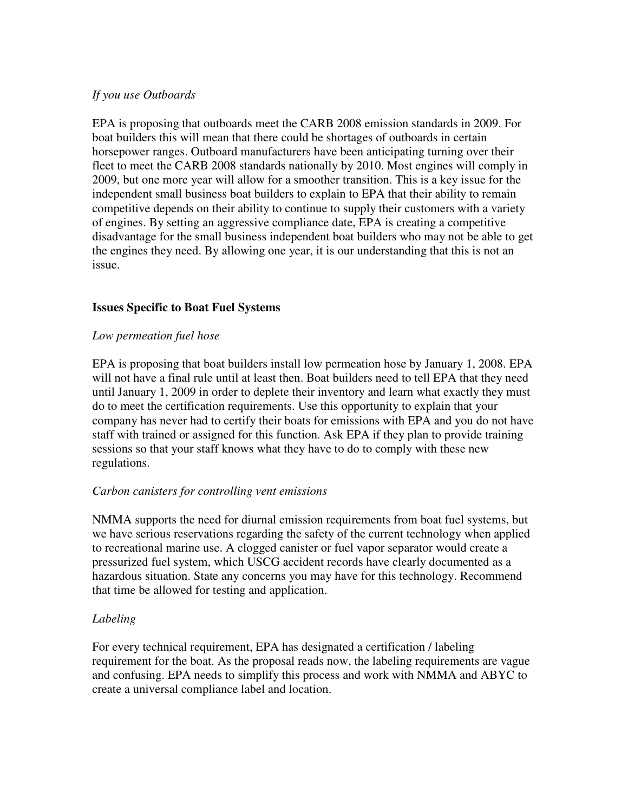### *If you use Outboards*

EPA is proposing that outboards meet the CARB 2008 emission standards in 2009. For boat builders this will mean that there could be shortages of outboards in certain horsepower ranges. Outboard manufacturers have been anticipating turning over their fleet to meet the CARB 2008 standards nationally by 2010. Most engines will comply in 2009, but one more year will allow for a smoother transition. This is a key issue for the independent small business boat builders to explain to EPA that their ability to remain competitive depends on their ability to continue to supply their customers with a variety of engines. By setting an aggressive compliance date, EPA is creating a competitive disadvantage for the small business independent boat builders who may not be able to get the engines they need. By allowing one year, it is our understanding that this is not an issue.

## **Issues Specific to Boat Fuel Systems**

#### *Low permeation fuel hose*

EPA is proposing that boat builders install low permeation hose by January 1, 2008. EPA will not have a final rule until at least then. Boat builders need to tell EPA that they need until January 1, 2009 in order to deplete their inventory and learn what exactly they must do to meet the certification requirements. Use this opportunity to explain that your company has never had to certify their boats for emissions with EPA and you do not have staff with trained or assigned for this function. Ask EPA if they plan to provide training sessions so that your staff knows what they have to do to comply with these new regulations.

#### *Carbon canisters for controlling vent emissions*

NMMA supports the need for diurnal emission requirements from boat fuel systems, but we have serious reservations regarding the safety of the current technology when applied to recreational marine use. A clogged canister or fuel vapor separator would create a pressurized fuel system, which USCG accident records have clearly documented as a hazardous situation. State any concerns you may have for this technology. Recommend that time be allowed for testing and application.

#### *Labeling*

For every technical requirement, EPA has designated a certification / labeling requirement for the boat. As the proposal reads now, the labeling requirements are vague and confusing. EPA needs to simplify this process and work with NMMA and ABYC to create a universal compliance label and location.